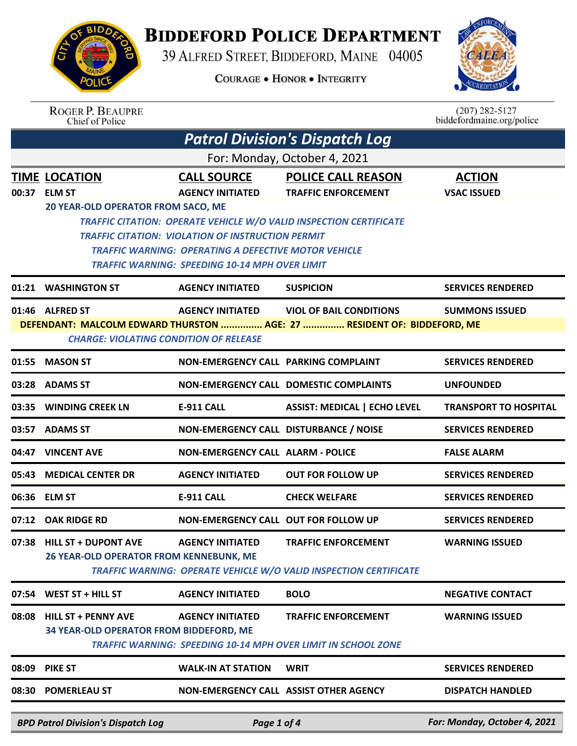

## **BIDDEFORD POLICE DEPARTMENT**

39 ALFRED STREET, BIDDEFORD, MAINE 04005

**COURAGE . HONOR . INTEGRITY** 



|                              | <b>ROGER P. BEAUPRE</b><br>Chief of Police     |                                                             |                                                                           | $(207)$ 282-5127<br>biddefordmaine.org/police |  |
|------------------------------|------------------------------------------------|-------------------------------------------------------------|---------------------------------------------------------------------------|-----------------------------------------------|--|
|                              |                                                |                                                             | <b>Patrol Division's Dispatch Log</b>                                     |                                               |  |
| For: Monday, October 4, 2021 |                                                |                                                             |                                                                           |                                               |  |
|                              | <b>TIME LOCATION</b>                           | <b>CALL SOURCE</b>                                          | <b>POLICE CALL REASON</b>                                                 | <b>ACTION</b>                                 |  |
| 00:37                        | <b>ELM ST</b>                                  | <b>AGENCY INITIATED</b>                                     | <b>TRAFFIC ENFORCEMENT</b>                                                | <b>VSAC ISSUED</b>                            |  |
|                              | 20 YEAR-OLD OPERATOR FROM SACO, ME             |                                                             |                                                                           |                                               |  |
|                              |                                                | <b>TRAFFIC CITATION: VIOLATION OF INSTRUCTION PERMIT</b>    | <b>TRAFFIC CITATION: OPERATE VEHICLE W/O VALID INSPECTION CERTIFICATE</b> |                                               |  |
|                              |                                                | <b>TRAFFIC WARNING: OPERATING A DEFECTIVE MOTOR VEHICLE</b> |                                                                           |                                               |  |
|                              |                                                | <b>TRAFFIC WARNING: SPEEDING 10-14 MPH OVER LIMIT</b>       |                                                                           |                                               |  |
|                              | 01:21 WASHINGTON ST                            | <b>AGENCY INITIATED</b>                                     | <b>SUSPICION</b>                                                          | <b>SERVICES RENDERED</b>                      |  |
|                              | 01:46 ALFRED ST                                | <b>AGENCY INITIATED</b>                                     | <b>VIOL OF BAIL CONDITIONS</b>                                            | <b>SUMMONS ISSUED</b>                         |  |
|                              |                                                |                                                             | DEFENDANT: MALCOLM EDWARD THURSTON  AGE: 27  RESIDENT OF: BIDDEFORD, ME   |                                               |  |
|                              | <b>CHARGE: VIOLATING CONDITION OF RELEASE</b>  |                                                             |                                                                           |                                               |  |
| 01:55                        | <b>MASON ST</b>                                | NON-EMERGENCY CALL PARKING COMPLAINT                        |                                                                           | <b>SERVICES RENDERED</b>                      |  |
|                              | 03:28 ADAMS ST                                 |                                                             | <b>NON-EMERGENCY CALL DOMESTIC COMPLAINTS</b>                             | <b>UNFOUNDED</b>                              |  |
| 03:35                        | <b>WINDING CREEK LN</b>                        | <b>E-911 CALL</b>                                           | <b>ASSIST: MEDICAL   ECHO LEVEL</b>                                       | <b>TRANSPORT TO HOSPITAL</b>                  |  |
| 03:57                        | <b>ADAMS ST</b>                                | NON-EMERGENCY CALL DISTURBANCE / NOISE                      |                                                                           | <b>SERVICES RENDERED</b>                      |  |
| 04:47                        | <b>VINCENT AVE</b>                             | <b>NON-EMERGENCY CALL ALARM - POLICE</b>                    |                                                                           | <b>FALSE ALARM</b>                            |  |
| 05:43                        | <b>MEDICAL CENTER DR</b>                       | <b>AGENCY INITIATED</b>                                     | <b>OUT FOR FOLLOW UP</b>                                                  | <b>SERVICES RENDERED</b>                      |  |
|                              | 06:36 ELM ST                                   | <b>E-911 CALL</b>                                           | <b>CHECK WELFARE</b>                                                      | <b>SERVICES RENDERED</b>                      |  |
|                              | 07:12 OAK RIDGE RD                             | <b>NON-EMERGENCY CALL OUT FOR FOLLOW UP</b>                 |                                                                           | <b>SERVICES RENDERED</b>                      |  |
| 07:38                        | <b>HILL ST + DUPONT AVE</b>                    | <b>AGENCY INITIATED</b>                                     | <b>TRAFFIC ENFORCEMENT</b>                                                | <b>WARNING ISSUED</b>                         |  |
|                              | <b>26 YEAR-OLD OPERATOR FROM KENNEBUNK, ME</b> |                                                             | <b>TRAFFIC WARNING: OPERATE VEHICLE W/O VALID INSPECTION CERTIFICATE</b>  |                                               |  |
|                              | 07:54 WEST ST + HILL ST                        | <b>AGENCY INITIATED</b>                                     | <b>BOLO</b>                                                               | <b>NEGATIVE CONTACT</b>                       |  |
| 08:08                        | <b>HILL ST + PENNY AVE</b>                     | <b>AGENCY INITIATED</b>                                     | <b>TRAFFIC ENFORCEMENT</b>                                                | <b>WARNING ISSUED</b>                         |  |
|                              | 34 YEAR-OLD OPERATOR FROM BIDDEFORD, ME        |                                                             | TRAFFIC WARNING: SPEEDING 10-14 MPH OVER LIMIT IN SCHOOL ZONE             |                                               |  |
| 08:09                        | <b>PIKE ST</b>                                 | <b>WALK-IN AT STATION</b>                                   | <b>WRIT</b>                                                               | <b>SERVICES RENDERED</b>                      |  |
|                              | 08:30 POMERLEAU ST                             |                                                             | NON-EMERGENCY CALL ASSIST OTHER AGENCY                                    | <b>DISPATCH HANDLED</b>                       |  |
|                              | <b>BPD Patrol Division's Dispatch Loa</b>      | Page 1 of 4                                                 |                                                                           | For: Monday, October 4, 2021                  |  |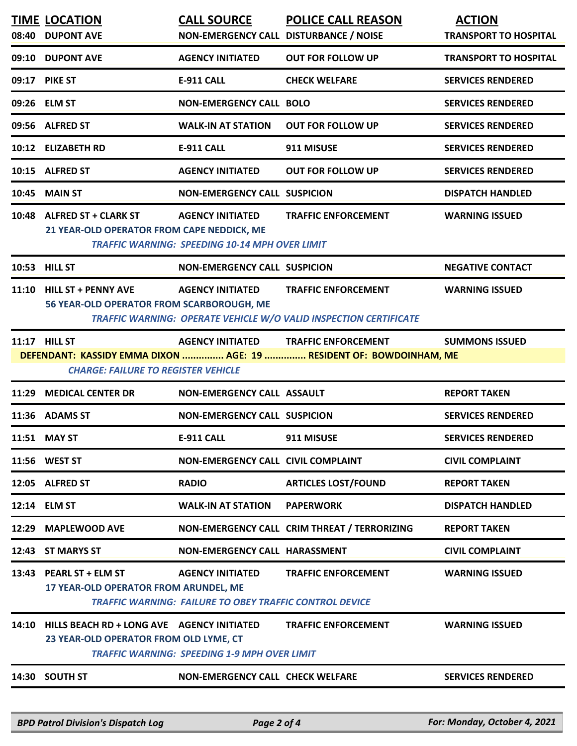| 09:10<br>09:17 | <b>DUPONT AVE</b><br><b>PIKE ST</b><br>09:26 ELM ST<br>09:56 ALFRED ST   | <b>AGENCY INITIATED</b><br><b>E-911 CALL</b>                                              | <b>OUT FOR FOLLOW UP</b><br><b>CHECK WELFARE</b>                                                       | <b>TRANSPORT TO HOSPITAL</b> |
|----------------|--------------------------------------------------------------------------|-------------------------------------------------------------------------------------------|--------------------------------------------------------------------------------------------------------|------------------------------|
|                |                                                                          |                                                                                           |                                                                                                        |                              |
|                |                                                                          |                                                                                           |                                                                                                        | <b>SERVICES RENDERED</b>     |
|                |                                                                          | <b>NON-EMERGENCY CALL BOLO</b>                                                            |                                                                                                        | <b>SERVICES RENDERED</b>     |
|                |                                                                          | <b>WALK-IN AT STATION</b>                                                                 | <b>OUT FOR FOLLOW UP</b>                                                                               | <b>SERVICES RENDERED</b>     |
|                | 10:12 ELIZABETH RD                                                       | <b>E-911 CALL</b>                                                                         | 911 MISUSE                                                                                             | <b>SERVICES RENDERED</b>     |
|                | 10:15 ALFRED ST                                                          | <b>AGENCY INITIATED</b>                                                                   | <b>OUT FOR FOLLOW UP</b>                                                                               | <b>SERVICES RENDERED</b>     |
| 10:45          | <b>MAIN ST</b>                                                           | <b>NON-EMERGENCY CALL SUSPICION</b>                                                       |                                                                                                        | <b>DISPATCH HANDLED</b>      |
|                | 10:48 ALFRED ST + CLARK ST<br>21 YEAR-OLD OPERATOR FROM CAPE NEDDICK, ME | <b>AGENCY INITIATED</b><br><b>TRAFFIC WARNING: SPEEDING 10-14 MPH OVER LIMIT</b>          | <b>TRAFFIC ENFORCEMENT</b>                                                                             | <b>WARNING ISSUED</b>        |
|                | 10:53 HILL ST                                                            | <b>NON-EMERGENCY CALL SUSPICION</b>                                                       |                                                                                                        | <b>NEGATIVE CONTACT</b>      |
| 11:10          | <b>HILL ST + PENNY AVE</b><br>56 YEAR-OLD OPERATOR FROM SCARBOROUGH, ME  | <b>AGENCY INITIATED</b>                                                                   | <b>TRAFFIC ENFORCEMENT</b><br><b>TRAFFIC WARNING: OPERATE VEHICLE W/O VALID INSPECTION CERTIFICATE</b> | <b>WARNING ISSUED</b>        |
|                | 11:17 HILL ST<br><b>CHARGE: FAILURE TO REGISTER VEHICLE</b>              | <b>AGENCY INITIATED</b>                                                                   | <b>TRAFFIC ENFORCEMENT</b><br>DEFENDANT: KASSIDY EMMA DIXON  AGE: 19  RESIDENT OF: BOWDOINHAM, ME      | <b>SUMMONS ISSUED</b>        |
| 11:29          | <b>MEDICAL CENTER DR</b>                                                 | <b>NON-EMERGENCY CALL ASSAULT</b>                                                         |                                                                                                        | <b>REPORT TAKEN</b>          |
| 11:36          | <b>ADAMS ST</b>                                                          | <b>NON-EMERGENCY CALL SUSPICION</b>                                                       |                                                                                                        | <b>SERVICES RENDERED</b>     |
|                | 11:51 MAY ST                                                             | <b>E-911 CALL</b>                                                                         | 911 MISUSE                                                                                             | <b>SERVICES RENDERED</b>     |
|                | 11:56 WEST ST                                                            | <b>NON-EMERGENCY CALL CIVIL COMPLAINT</b>                                                 |                                                                                                        | <b>CIVIL COMPLAINT</b>       |
|                | 12:05 ALFRED ST                                                          | <b>RADIO</b>                                                                              | <b>ARTICLES LOST/FOUND</b>                                                                             | <b>REPORT TAKEN</b>          |
|                | 12:14 ELM ST                                                             | <b>WALK-IN AT STATION</b>                                                                 | <b>PAPERWORK</b>                                                                                       | <b>DISPATCH HANDLED</b>      |
| 12:29          | <b>MAPLEWOOD AVE</b>                                                     |                                                                                           | NON-EMERGENCY CALL CRIM THREAT / TERRORIZING                                                           | <b>REPORT TAKEN</b>          |
| 12:43          | <b>ST MARYS ST</b>                                                       | NON-EMERGENCY CALL HARASSMENT                                                             |                                                                                                        | <b>CIVIL COMPLAINT</b>       |
| 13:43          | <b>PEARL ST + ELM ST</b><br>17 YEAR-OLD OPERATOR FROM ARUNDEL, ME        | <b>AGENCY INITIATED</b><br><b>TRAFFIC WARNING: FAILURE TO OBEY TRAFFIC CONTROL DEVICE</b> | <b>TRAFFIC ENFORCEMENT</b>                                                                             | <b>WARNING ISSUED</b>        |
| 14:10          | 23 YEAR-OLD OPERATOR FROM OLD LYME, CT                                   | <b>TRAFFIC WARNING: SPEEDING 1-9 MPH OVER LIMIT</b>                                       | <b>TRAFFIC ENFORCEMENT</b>                                                                             | <b>WARNING ISSUED</b>        |
|                | 14:30 SOUTH ST                                                           | <b>NON-EMERGENCY CALL CHECK WELFARE</b>                                                   |                                                                                                        | <b>SERVICES RENDERED</b>     |

*BPD Patrol Division's Dispatch Log Page 2 of 4 For: Monday, October 4, 2021*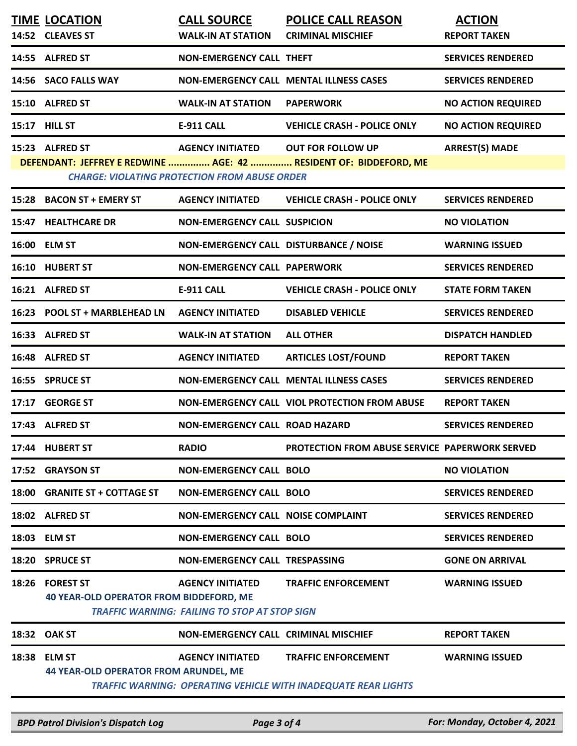|       | <b>TIME LOCATION</b>                                                                                                      | <b>CALL SOURCE</b>                                                              | <b>POLICE CALL REASON</b>                                                                           | <b>ACTION</b>             |  |  |
|-------|---------------------------------------------------------------------------------------------------------------------------|---------------------------------------------------------------------------------|-----------------------------------------------------------------------------------------------------|---------------------------|--|--|
|       | 14:52 CLEAVES ST                                                                                                          | <b>WALK-IN AT STATION</b>                                                       | <b>CRIMINAL MISCHIEF</b>                                                                            | <b>REPORT TAKEN</b>       |  |  |
|       | 14:55 ALFRED ST                                                                                                           | <b>NON-EMERGENCY CALL THEFT</b>                                                 |                                                                                                     | <b>SERVICES RENDERED</b>  |  |  |
|       | 14:56 SACO FALLS WAY                                                                                                      |                                                                                 | <b>NON-EMERGENCY CALL MENTAL ILLNESS CASES</b>                                                      | <b>SERVICES RENDERED</b>  |  |  |
|       | 15:10 ALFRED ST                                                                                                           | <b>WALK-IN AT STATION</b>                                                       | <b>PAPERWORK</b>                                                                                    | <b>NO ACTION REQUIRED</b> |  |  |
| 15:17 | <b>HILL ST</b>                                                                                                            | <b>E-911 CALL</b>                                                               | <b>VEHICLE CRASH - POLICE ONLY</b>                                                                  | <b>NO ACTION REQUIRED</b> |  |  |
|       | 15:23 ALFRED ST                                                                                                           | <b>AGENCY INITIATED</b>                                                         | <b>OUT FOR FOLLOW UP</b>                                                                            | <b>ARREST(S) MADE</b>     |  |  |
|       | DEFENDANT: JEFFREY E REDWINE  AGE: 42  RESIDENT OF: BIDDEFORD, ME<br><b>CHARGE: VIOLATING PROTECTION FROM ABUSE ORDER</b> |                                                                                 |                                                                                                     |                           |  |  |
| 15:28 | <b>BACON ST + EMERY ST</b>                                                                                                | <b>AGENCY INITIATED</b>                                                         | <b>VEHICLE CRASH - POLICE ONLY</b>                                                                  | <b>SERVICES RENDERED</b>  |  |  |
|       |                                                                                                                           |                                                                                 |                                                                                                     |                           |  |  |
|       | 15:47 HEALTHCARE DR                                                                                                       | <b>NON-EMERGENCY CALL SUSPICION</b>                                             |                                                                                                     | <b>NO VIOLATION</b>       |  |  |
|       | 16:00 ELM ST                                                                                                              | NON-EMERGENCY CALL DISTURBANCE / NOISE                                          |                                                                                                     | <b>WARNING ISSUED</b>     |  |  |
|       | 16:10 HUBERT ST                                                                                                           | <b>NON-EMERGENCY CALL PAPERWORK</b>                                             |                                                                                                     | <b>SERVICES RENDERED</b>  |  |  |
|       | 16:21 ALFRED ST                                                                                                           | <b>E-911 CALL</b>                                                               | <b>VEHICLE CRASH - POLICE ONLY</b>                                                                  | <b>STATE FORM TAKEN</b>   |  |  |
| 16:23 | <b>POOL ST + MARBLEHEAD LN</b>                                                                                            | <b>AGENCY INITIATED</b>                                                         | <b>DISABLED VEHICLE</b>                                                                             | <b>SERVICES RENDERED</b>  |  |  |
|       | 16:33 ALFRED ST                                                                                                           | <b>WALK-IN AT STATION</b>                                                       | <b>ALL OTHER</b>                                                                                    | <b>DISPATCH HANDLED</b>   |  |  |
|       | 16:48 ALFRED ST                                                                                                           | <b>AGENCY INITIATED</b>                                                         | <b>ARTICLES LOST/FOUND</b>                                                                          | <b>REPORT TAKEN</b>       |  |  |
| 16:55 | <b>SPRUCE ST</b>                                                                                                          |                                                                                 | <b>NON-EMERGENCY CALL MENTAL ILLNESS CASES</b>                                                      | <b>SERVICES RENDERED</b>  |  |  |
| 17:17 | <b>GEORGE ST</b>                                                                                                          |                                                                                 | NON-EMERGENCY CALL VIOL PROTECTION FROM ABUSE                                                       | <b>REPORT TAKEN</b>       |  |  |
|       | 17:43 ALFRED ST                                                                                                           | <b>NON-EMERGENCY CALL ROAD HAZARD</b>                                           |                                                                                                     | <b>SERVICES RENDERED</b>  |  |  |
|       | 17:44 HUBERT ST                                                                                                           | <b>RADIO</b>                                                                    | <b>PROTECTION FROM ABUSE SERVICE PAPERWORK SERVED</b>                                               |                           |  |  |
| 17:52 | <b>GRAYSON ST</b>                                                                                                         | <b>NON-EMERGENCY CALL BOLO</b>                                                  |                                                                                                     | <b>NO VIOLATION</b>       |  |  |
| 18:00 | <b>GRANITE ST + COTTAGE ST</b>                                                                                            | <b>NON-EMERGENCY CALL BOLO</b>                                                  |                                                                                                     | <b>SERVICES RENDERED</b>  |  |  |
|       | 18:02 ALFRED ST                                                                                                           | <b>NON-EMERGENCY CALL NOISE COMPLAINT</b>                                       |                                                                                                     | <b>SERVICES RENDERED</b>  |  |  |
|       | 18:03 ELM ST                                                                                                              | <b>NON-EMERGENCY CALL BOLO</b>                                                  |                                                                                                     | <b>SERVICES RENDERED</b>  |  |  |
|       | 18:20 SPRUCE ST                                                                                                           | NON-EMERGENCY CALL TRESPASSING                                                  |                                                                                                     | <b>GONE ON ARRIVAL</b>    |  |  |
|       | 18:26 FOREST ST<br><b>40 YEAR-OLD OPERATOR FROM BIDDEFORD, ME</b>                                                         | <b>AGENCY INITIATED</b><br><b>TRAFFIC WARNING: FAILING TO STOP AT STOP SIGN</b> | <b>TRAFFIC ENFORCEMENT</b>                                                                          | <b>WARNING ISSUED</b>     |  |  |
|       | 18:32 OAK ST                                                                                                              | <b>NON-EMERGENCY CALL CRIMINAL MISCHIEF</b>                                     |                                                                                                     | <b>REPORT TAKEN</b>       |  |  |
| 18:38 | <b>ELM ST</b><br><b>44 YEAR-OLD OPERATOR FROM ARUNDEL, ME</b>                                                             | <b>AGENCY INITIATED</b>                                                         | <b>TRAFFIC ENFORCEMENT</b><br><b>TRAFFIC WARNING: OPERATING VEHICLE WITH INADEQUATE REAR LIGHTS</b> | <b>WARNING ISSUED</b>     |  |  |

*BPD Patrol Division's Dispatch Log Page 3 of 4 For: Monday, October 4, 2021*